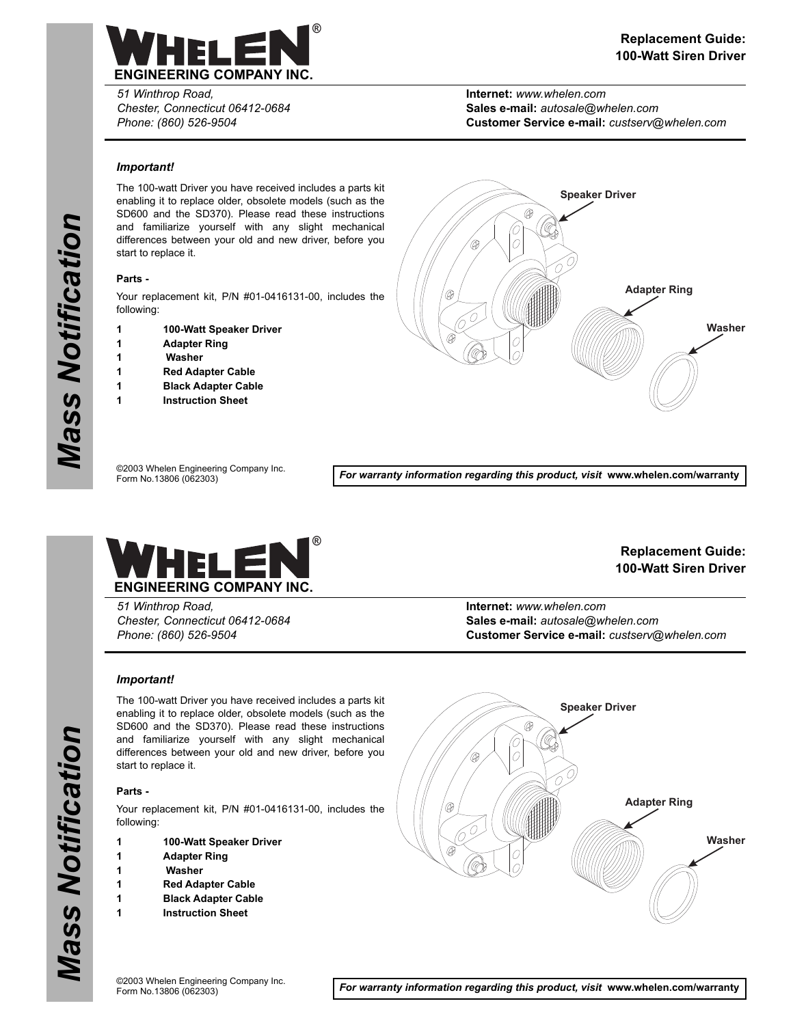

*51 Winthrop Road, Chester, Connecticut 06412-0684 Phone: (860) 526-9504*

**Internet:** *www.whelen.com* **Sales e-mail:** *autosale@whelen.com* **Customer Service e-mail:** *custserv@whelen.com*

# *Important!*

The 100-watt Driver you have received includes a parts kit enabling it to replace older, obsolete models (such as the SD600 and the SD370). Please read these instructions and familiarize yourself with any slight mechanical differences between your old and new driver, before you start to replace it.

# **Parts -**

Your replacement kit, P/N #01-0416131-00, includes the following:

- **1 100-Watt Speaker Driver**
- **1 Adapter Ring**
- **1 Washer**
- **1 Red Adapter Cable**
- **1 Black Adapter Cable**
- **1 Instruction Sheet**



©2003 Whelen Engineering Company Inc. Form No.13806 (062303)

*For warranty information regarding this product, visit* **www.whelen.com/warranty**



*51 Winthrop Road, Chester, Connecticut 06412-0684 Phone: (860) 526-9504*

**Replacement Guide: 100-Watt Siren Driver**

**Internet:** *www.whelen.com* **Sales e-mail:** *autosale@whelen.com* **Customer Service e-mail:** *custserv@whelen.com*

# *Important!*

The 100-watt Driver you have received includes a parts kit enabling it to replace older, obsolete models (such as the SD600 and the SD370). Please read these instructions and familiarize yourself with any slight mechanical differences between your old and new driver, before you start to replace it.

### **Parts -**

*Mass Notification*

**Mass Notification** 

Your replacement kit, P/N #01-0416131-00, includes the following:

- **1 100-Watt Speaker Driver**
- **1 Adapter Ring**
- **1 Washer**
- **1 Red Adapter Cable**
- **1 Black Adapter Cable**
- **1 Instruction Sheet**



**Page 1** *For warranty information regarding this product, visit* **www.whelen.com/warranty**

Mass Notification *Mass Notification*